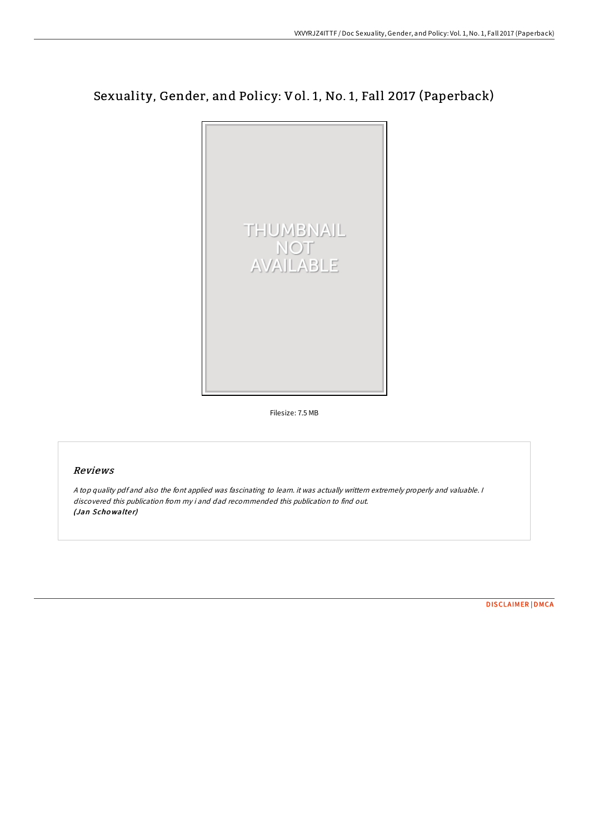# Sexuality, Gender, and Policy: Vol. 1, No. 1, Fall 2017 (Paperback)



Filesize: 7.5 MB

## Reviews

<sup>A</sup> top quality pdf and also the font applied was fascinating to learn. it was actually writtern extremely properly and valuable. <sup>I</sup> discovered this publication from my i and dad recommended this publication to find out. (Jan Schowalter)

[DISCLAIMER](http://almighty24.tech/disclaimer.html) | [DMCA](http://almighty24.tech/dmca.html)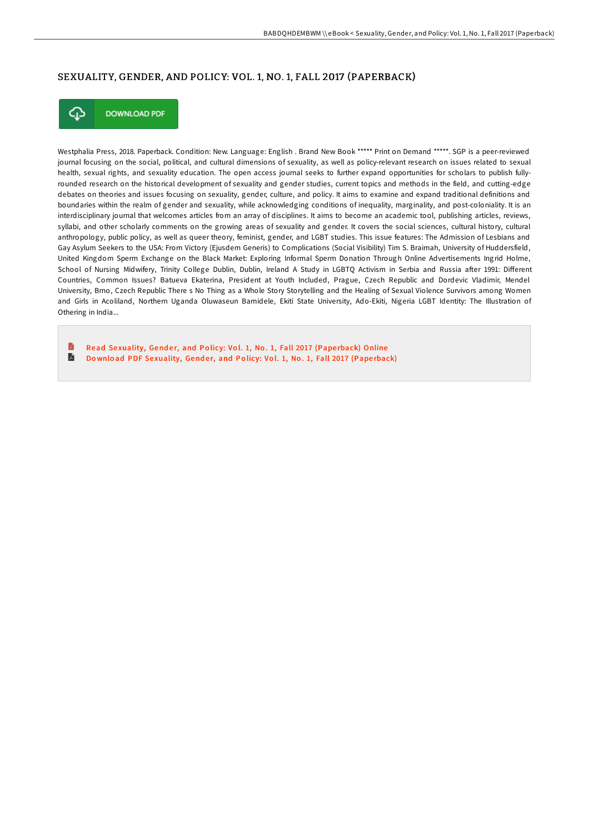### SEXUALITY, GENDER, AND POLICY: VOL. 1, NO. 1, FALL 2017 (PAPERBACK)



**DOWNLOAD PDF** 

Westphalia Press, 2018. Paperback. Condition: New. Language: English . Brand New Book \*\*\*\*\* Print on Demand \*\*\*\*\*. SGP is a peer-reviewed journal focusing on the social, political, and cultural dimensions of sexuality, as well as policy-relevant research on issues related to sexual health, sexual rights, and sexuality education. The open access journal seeks to further expand opportunities for scholars to publish fullyrounded research on the historical development of sexuality and gender studies, current topics and methods in the field, and cutting-edge debates on theories and issues focusing on sexuality, gender, culture, and policy. It aims to examine and expand traditional definitions and boundaries within the realm of gender and sexuality, while acknowledging conditions of inequality, marginality, and post-coloniality. It is an interdisciplinary journal that welcomes articles from an array of disciplines. It aims to become an academic tool, publishing articles, reviews, syllabi, and other scholarly comments on the growing areas of sexuality and gender. It covers the social sciences, cultural history, cultural anthropology, public policy, as well as queer theory, feminist, gender, and LGBT studies. This issue features: The Admission of Lesbians and Gay Asylum Seekers to the USA: From Victory (Ejusdem Generis) to Complications (Social Visibility) Tim S. Braimah, University of Huddersfield, United Kingdom Sperm Exchange on the Black Market: Exploring Informal Sperm Donation Through Online Advertisements Ingrid Holme, School of Nursing Midwifery, Trinity College Dublin, Dublin, Ireland A Study in LGBTQ Activism in Serbia and Russia after 1991: Different Countries, Common Issues? Batueva Ekaterina, President at Youth Included, Prague, Czech Republic and Dordevic Vladimir, Mendel University, Brno, Czech Republic There s No Thing as a Whole Story Storytelling and the Healing of Sexual Violence Survivors among Women and Girls in Acoliland, Northern Uganda Oluwaseun Bamidele, Ekiti State University, Ado-Ekiti, Nigeria LGBT Identity: The Illustration of Othering in India...

Read Se[xuality,](http://almighty24.tech/sexuality-gender-and-policy-vol-1-no-1-fall-2017.html) Gender, and Policy: Vol. 1, No. 1, Fall 2017 (Paperback) Online

E Do wnload PDF Se[xuality,](http://almighty24.tech/sexuality-gender-and-policy-vol-1-no-1-fall-2017.html) Gender, and Policy: Vol. 1, No. 1, Fall 2017 (Paperback)